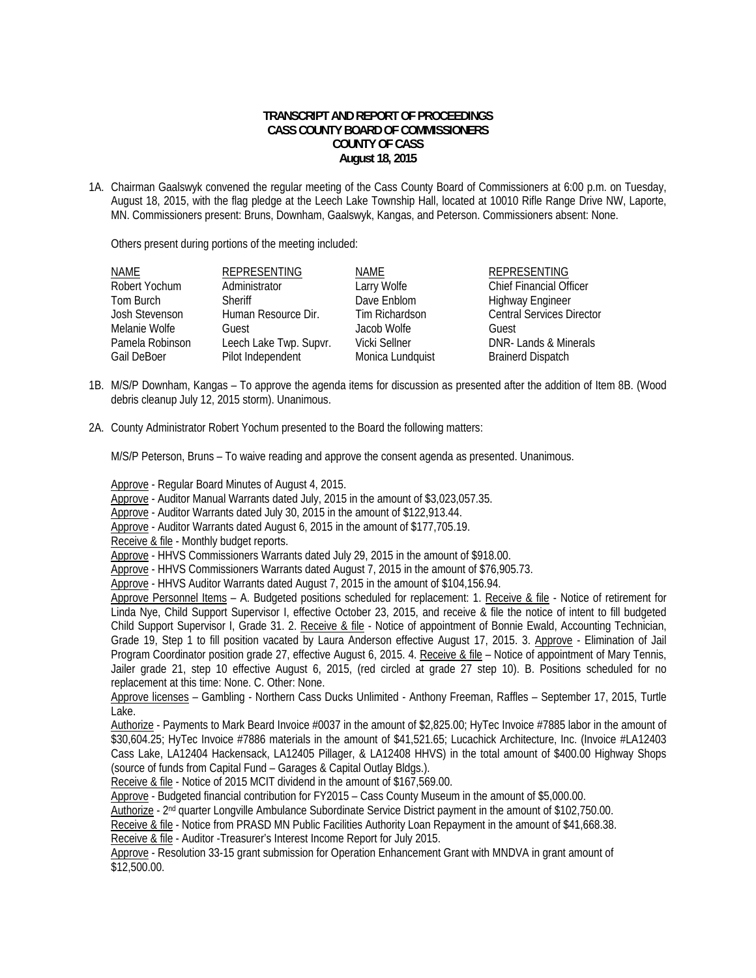## **TRANSCRIPT AND REPORT OF PROCEEDINGS CASS COUNTY BOARD OF COMMISSIONERS COUNTY OF CASS August 18, 2015**

1A. Chairman Gaalswyk convened the regular meeting of the Cass County Board of Commissioners at 6:00 p.m. on Tuesday, August 18, 2015, with the flag pledge at the Leech Lake Township Hall, located at 10010 Rifle Range Drive NW, Laporte, MN. Commissioners present: Bruns, Downham, Gaalswyk, Kangas, and Peterson. Commissioners absent: None.

Others present during portions of the meeting included:

| <b>NAME</b>     | <b>REPRESENTING</b>    | NAME             | <b>REPRESENTING</b>              |
|-----------------|------------------------|------------------|----------------------------------|
| Robert Yochum   | Administrator          | Larry Wolfe      | <b>Chief Financial Officer</b>   |
| Tom Burch       | <b>Sheriff</b>         | Dave Enblom      | <b>Highway Engineer</b>          |
| Josh Stevenson  | Human Resource Dir.    | Tim Richardson   | <b>Central Services Director</b> |
| Melanie Wolfe   | Guest                  | Jacob Wolfe      | Guest                            |
| Pamela Robinson | Leech Lake Twp. Supvr. | Vicki Sellner    | DNR-Lands & Minerals             |
| Gail DeBoer     | Pilot Independent      | Monica Lundquist | <b>Brainerd Dispatch</b>         |

- 1B. M/S/P Downham, Kangas To approve the agenda items for discussion as presented after the addition of Item 8B. (Wood debris cleanup July 12, 2015 storm). Unanimous.
- 2A. County Administrator Robert Yochum presented to the Board the following matters:

M/S/P Peterson, Bruns – To waive reading and approve the consent agenda as presented. Unanimous.

Approve - Regular Board Minutes of August 4, 2015.

Approve - Auditor Manual Warrants dated July, 2015 in the amount of \$3,023,057.35.

Approve - Auditor Warrants dated July 30, 2015 in the amount of \$122,913.44.

Approve - Auditor Warrants dated August 6, 2015 in the amount of \$177,705.19.

Receive & file - Monthly budget reports.

Approve - HHVS Commissioners Warrants dated July 29, 2015 in the amount of \$918.00.

Approve - HHVS Commissioners Warrants dated August 7, 2015 in the amount of \$76,905.73.

Approve - HHVS Auditor Warrants dated August 7, 2015 in the amount of \$104,156.94.

Approve Personnel Items - A. Budgeted positions scheduled for replacement: 1. Receive & file - Notice of retirement for Linda Nye, Child Support Supervisor I, effective October 23, 2015, and receive & file the notice of intent to fill budgeted Child Support Supervisor I, Grade 31. 2. Receive & file - Notice of appointment of Bonnie Ewald, Accounting Technician, Grade 19, Step 1 to fill position vacated by Laura Anderson effective August 17, 2015. 3. Approve - Elimination of Jail Program Coordinator position grade 27, effective August 6, 2015. 4. Receive & file – Notice of appointment of Mary Tennis, Jailer grade 21, step 10 effective August 6, 2015, (red circled at grade 27 step 10). B. Positions scheduled for no replacement at this time: None. C. Other: None.

 Approve licenses – Gambling - Northern Cass Ducks Unlimited - Anthony Freeman, Raffles – September 17, 2015, Turtle Lake.

 Authorize - Payments to Mark Beard Invoice #0037 in the amount of \$2,825.00; HyTec Invoice #7885 labor in the amount of \$30,604.25; HyTec Invoice #7886 materials in the amount of \$41,521.65; Lucachick Architecture, Inc. (Invoice #LA12403 Cass Lake, LA12404 Hackensack, LA12405 Pillager, & LA12408 HHVS) in the total amount of \$400.00 Highway Shops (source of funds from Capital Fund – Garages & Capital Outlay Bldgs.).

Receive & file - Notice of 2015 MCIT dividend in the amount of \$167,569.00.

Approve - Budgeted financial contribution for FY2015 – Cass County Museum in the amount of \$5,000.00.

Authorize - 2nd quarter Longville Ambulance Subordinate Service District payment in the amount of \$102,750.00.

Receive & file - Notice from PRASD MN Public Facilities Authority Loan Repayment in the amount of \$41,668.38. Receive & file - Auditor - Treasurer's Interest Income Report for July 2015.

Approve - Resolution 33-15 grant submission for Operation Enhancement Grant with MNDVA in grant amount of \$12,500.00.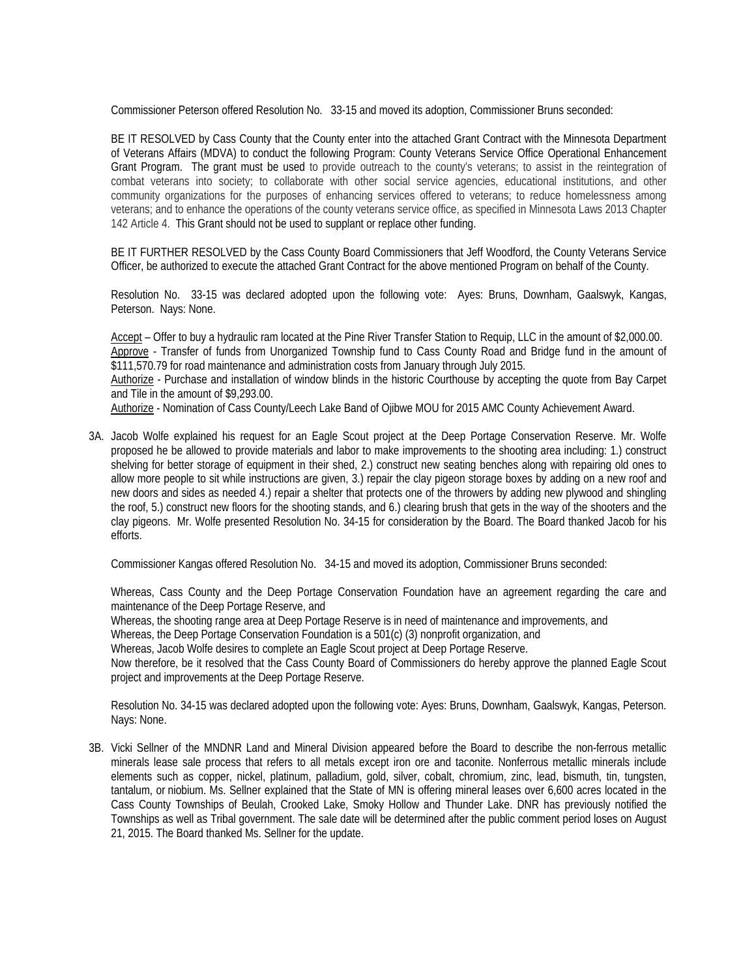Commissioner Peterson offered Resolution No. 33-15 and moved its adoption, Commissioner Bruns seconded:

BE IT RESOLVED by Cass County that the County enter into the attached Grant Contract with the Minnesota Department of Veterans Affairs (MDVA) to conduct the following Program: County Veterans Service Office Operational Enhancement Grant Program. The grant must be used to provide outreach to the county's veterans; to assist in the reintegration of combat veterans into society; to collaborate with other social service agencies, educational institutions, and other community organizations for the purposes of enhancing services offered to veterans; to reduce homelessness among veterans; and to enhance the operations of the county veterans service office, as specified in Minnesota Laws 2013 Chapter 142 Article 4. This Grant should not be used to supplant or replace other funding.

BE IT FURTHER RESOLVED by the Cass County Board Commissioners that Jeff Woodford, the County Veterans Service Officer, be authorized to execute the attached Grant Contract for the above mentioned Program on behalf of the County.

Resolution No. 33-15 was declared adopted upon the following vote: Ayes: Bruns, Downham, Gaalswyk, Kangas, Peterson. Nays: None.

 Accept – Offer to buy a hydraulic ram located at the Pine River Transfer Station to Requip, LLC in the amount of \$2,000.00. Approve - Transfer of funds from Unorganized Township fund to Cass County Road and Bridge fund in the amount of \$111,570.79 for road maintenance and administration costs from January through July 2015.

Authorize - Purchase and installation of window blinds in the historic Courthouse by accepting the quote from Bay Carpet and Tile in the amount of \$9,293.00.

Authorize - Nomination of Cass County/Leech Lake Band of Ojibwe MOU for 2015 AMC County Achievement Award.

3A. Jacob Wolfe explained his request for an Eagle Scout project at the Deep Portage Conservation Reserve. Mr. Wolfe proposed he be allowed to provide materials and labor to make improvements to the shooting area including: 1.) construct shelving for better storage of equipment in their shed, 2.) construct new seating benches along with repairing old ones to allow more people to sit while instructions are given, 3.) repair the clay pigeon storage boxes by adding on a new roof and new doors and sides as needed 4.) repair a shelter that protects one of the throwers by adding new plywood and shingling the roof, 5.) construct new floors for the shooting stands, and 6.) clearing brush that gets in the way of the shooters and the clay pigeons. Mr. Wolfe presented Resolution No. 34-15 for consideration by the Board. The Board thanked Jacob for his efforts.

Commissioner Kangas offered Resolution No. 34-15 and moved its adoption, Commissioner Bruns seconded:

Whereas, Cass County and the Deep Portage Conservation Foundation have an agreement regarding the care and maintenance of the Deep Portage Reserve, and

Whereas, the shooting range area at Deep Portage Reserve is in need of maintenance and improvements, and

Whereas, the Deep Portage Conservation Foundation is a 501(c) (3) nonprofit organization, and

Whereas, Jacob Wolfe desires to complete an Eagle Scout project at Deep Portage Reserve.

Now therefore, be it resolved that the Cass County Board of Commissioners do hereby approve the planned Eagle Scout project and improvements at the Deep Portage Reserve.

Resolution No. 34-15 was declared adopted upon the following vote: Ayes: Bruns, Downham, Gaalswyk, Kangas, Peterson. Nays: None.

3B. Vicki Sellner of the MNDNR Land and Mineral Division appeared before the Board to describe the non-ferrous metallic minerals lease sale process that refers to all metals except iron ore and taconite. Nonferrous metallic minerals include elements such as copper, nickel, platinum, palladium, gold, silver, cobalt, chromium, zinc, lead, bismuth, tin, tungsten, tantalum, or niobium. Ms. Sellner explained that the State of MN is offering mineral leases over 6,600 acres located in the Cass County Townships of Beulah, Crooked Lake, Smoky Hollow and Thunder Lake. DNR has previously notified the Townships as well as Tribal government. The sale date will be determined after the public comment period loses on August 21, 2015. The Board thanked Ms. Sellner for the update.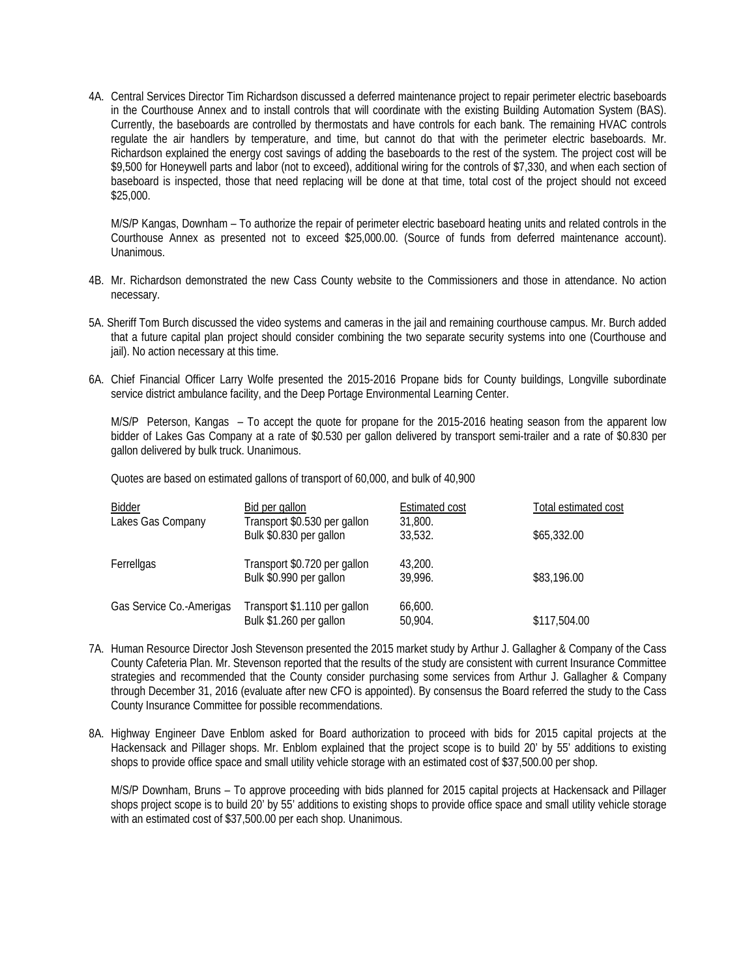4A. Central Services Director Tim Richardson discussed a deferred maintenance project to repair perimeter electric baseboards in the Courthouse Annex and to install controls that will coordinate with the existing Building Automation System (BAS). Currently, the baseboards are controlled by thermostats and have controls for each bank. The remaining HVAC controls regulate the air handlers by temperature, and time, but cannot do that with the perimeter electric baseboards. Mr. Richardson explained the energy cost savings of adding the baseboards to the rest of the system. The project cost will be \$9,500 for Honeywell parts and labor (not to exceed), additional wiring for the controls of \$7,330, and when each section of baseboard is inspected, those that need replacing will be done at that time, total cost of the project should not exceed \$25,000.

 M/S/P Kangas, Downham – To authorize the repair of perimeter electric baseboard heating units and related controls in the Courthouse Annex as presented not to exceed \$25,000.00. (Source of funds from deferred maintenance account). Unanimous.

- 4B. Mr. Richardson demonstrated the new Cass County website to the Commissioners and those in attendance. No action necessary.
- 5A. Sheriff Tom Burch discussed the video systems and cameras in the jail and remaining courthouse campus. Mr. Burch added that a future capital plan project should consider combining the two separate security systems into one (Courthouse and jail). No action necessary at this time.
- 6A. Chief Financial Officer Larry Wolfe presented the 2015-2016 Propane bids for County buildings, Longville subordinate service district ambulance facility, and the Deep Portage Environmental Learning Center.

M/S/P Peterson, Kangas – To accept the quote for propane for the 2015-2016 heating season from the apparent low bidder of Lakes Gas Company at a rate of \$0.530 per gallon delivered by transport semi-trailer and a rate of \$0.830 per gallon delivered by bulk truck. Unanimous.

Quotes are based on estimated gallons of transport of 60,000, and bulk of 40,900

| Bidder                   | Bid per gallon                                          | <b>Estimated cost</b> | Total estimated cost |
|--------------------------|---------------------------------------------------------|-----------------------|----------------------|
| Lakes Gas Company        | Transport \$0.530 per gallon<br>Bulk \$0.830 per gallon | 31,800.<br>33,532.    | \$65,332.00          |
| Ferrellgas               | Transport \$0.720 per gallon<br>Bulk \$0.990 per gallon | 43,200.<br>39.996.    | \$83,196.00          |
| Gas Service Co.-Amerigas | Transport \$1.110 per gallon<br>Bulk \$1.260 per gallon | 66,600.<br>50,904.    | \$117,504.00         |

- 7A. Human Resource Director Josh Stevenson presented the 2015 market study by Arthur J. Gallagher & Company of the Cass County Cafeteria Plan. Mr. Stevenson reported that the results of the study are consistent with current Insurance Committee strategies and recommended that the County consider purchasing some services from Arthur J. Gallagher & Company through December 31, 2016 (evaluate after new CFO is appointed). By consensus the Board referred the study to the Cass County Insurance Committee for possible recommendations.
- 8A. Highway Engineer Dave Enblom asked for Board authorization to proceed with bids for 2015 capital projects at the Hackensack and Pillager shops. Mr. Enblom explained that the project scope is to build 20' by 55' additions to existing shops to provide office space and small utility vehicle storage with an estimated cost of \$37,500.00 per shop.

 M/S/P Downham, Bruns – To approve proceeding with bids planned for 2015 capital projects at Hackensack and Pillager shops project scope is to build 20' by 55' additions to existing shops to provide office space and small utility vehicle storage with an estimated cost of \$37,500.00 per each shop. Unanimous.